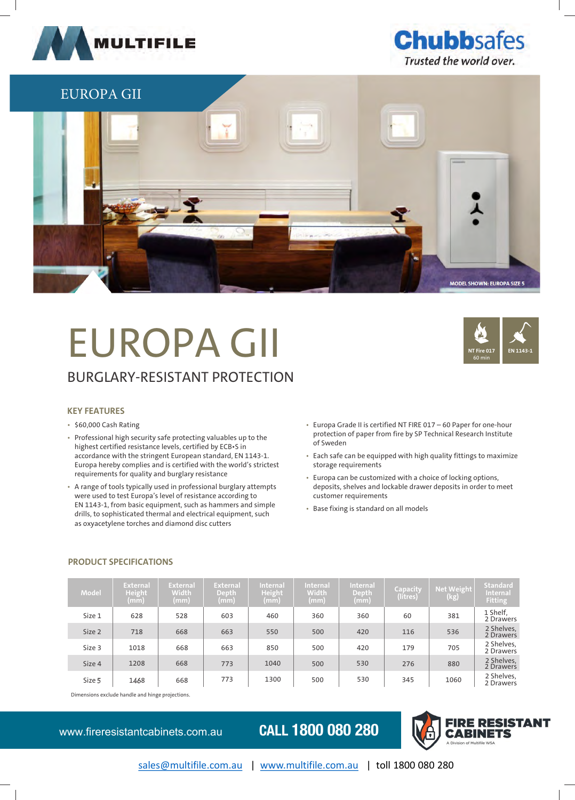



## EUROPA GII **MODEL SHOWN: EUROPA SIZE 5 MODEL SHOWN: EUROPA SIZE 5**

### EUROPA GII BURGLARY-RESISTANT PROTECTION



### **KEY FEATURES**

- \$60,000 Cash Rating
- Professional high security safe protecting valuables up to the highest certified resistance levels, certified by ECB•S in accordance with the stringent European standard, EN 1143-1. Europa hereby complies and is certified with the world's strictest requirements for quality and burglary resistance
- A range of tools typically used in professional burglary attempts were used to test Europa's level of resistance according to EN 1143-1, from basic equipment, such as hammers and simple drills, to sophisticated thermal and electrical equipment, such as oxyacetylene torches and diamond disc cutters
- Europa Grade II is certified NT FIRE 017 60 Paper for one-hour protection of paper from fire by SP Technical Research Institute of Sweden
- Each safe can be equipped with high quality fittings to maximize storage requirements
- Europa can be customized with a choice of locking options, deposits, shelves and lockable drawer deposits in order to meet customer requirements
- Base fixing is standard on all models

| Model  | <b>External</b><br>Height <sup>1</sup><br>(mm) | <b>External</b><br><b>Width</b><br>(mm) | <b>External</b><br>Depth<br>(mm) | <b>Internal</b><br><b>Height</b><br>$\mathsf{mm}$ | <b>Internal</b><br>Width<br>(mm) | <b>Internal</b><br><b>Depth</b><br>(mm) | Capacity<br>(litres) | <b>Net Weight</b><br>(kg) | <b>Standard</b><br>Internal<br><b>Fitting</b> |
|--------|------------------------------------------------|-----------------------------------------|----------------------------------|---------------------------------------------------|----------------------------------|-----------------------------------------|----------------------|---------------------------|-----------------------------------------------|
| Size 1 | 628                                            | 528                                     | 603                              | 460                                               | 360                              | 360                                     | 60                   | 381                       | 1 Shelf,<br>2 Drawers                         |
| Size 2 | 718                                            | 668                                     | 663                              | 550                                               | 500                              | 420                                     | 116                  | 536                       | 2 Shelves,<br>2 Drawers                       |
| Size 3 | 1018                                           | 668                                     | 663                              | 850                                               | 500                              | 420                                     | 179                  | 705                       | 2 Shelves,<br>2 Drawers                       |
| Size 4 | 1208                                           | 668                                     | 773                              | 1040                                              | 500                              | 530                                     | 276                  | 880                       | 2 Shelves,<br>2 Drawers                       |
| Size 5 | 1468                                           | 668                                     | 773                              | 1300                                              | 500                              | 530                                     | 345                  | 1060                      | 2 Shelves,<br>2 Drawers                       |

### **PRODUCT SPECIFICATIONS**

Dimensions exclude handle and hinge projections.

www.fireresistantcabinets.com.au **CALL 1800 080 280**